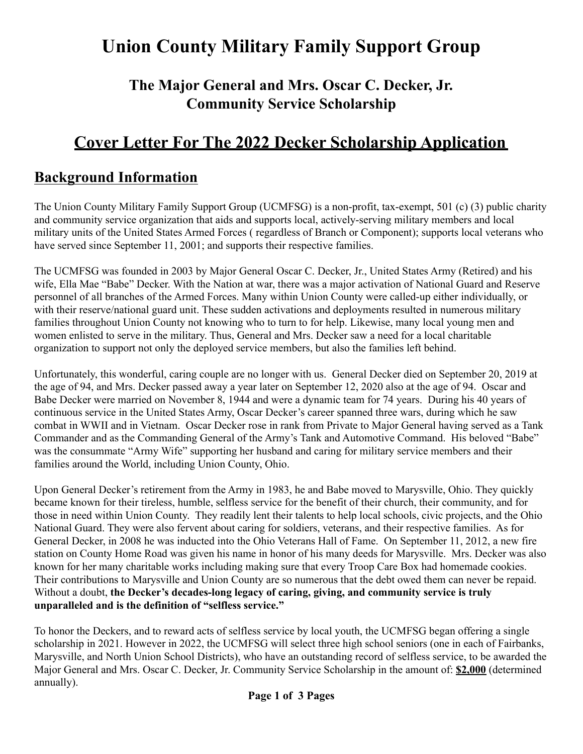# **Union County Military Family Support Group**

### **The Major General and Mrs. Oscar C. Decker, Jr. Community Service Scholarship**

## **Cover Letter For The 2022 Decker Scholarship Application**

#### **Background Information**

The Union County Military Family Support Group (UCMFSG) is a non-profit, tax-exempt, 501 (c) (3) public charity and community service organization that aids and supports local, actively-serving military members and local military units of the United States Armed Forces ( regardless of Branch or Component); supports local veterans who have served since September 11, 2001; and supports their respective families.

The UCMFSG was founded in 2003 by Major General Oscar C. Decker, Jr., United States Army (Retired) and his wife, Ella Mae "Babe" Decker. With the Nation at war, there was a major activation of National Guard and Reserve personnel of all branches of the Armed Forces. Many within Union County were called-up either individually, or with their reserve/national guard unit. These sudden activations and deployments resulted in numerous military families throughout Union County not knowing who to turn to for help. Likewise, many local young men and women enlisted to serve in the military. Thus, General and Mrs. Decker saw a need for a local charitable organization to support not only the deployed service members, but also the families left behind.

Unfortunately, this wonderful, caring couple are no longer with us. General Decker died on September 20, 2019 at the age of 94, and Mrs. Decker passed away a year later on September 12, 2020 also at the age of 94. Oscar and Babe Decker were married on November 8, 1944 and were a dynamic team for 74 years. During his 40 years of continuous service in the United States Army, Oscar Decker's career spanned three wars, during which he saw combat in WWII and in Vietnam. Oscar Decker rose in rank from Private to Major General having served as a Tank Commander and as the Commanding General of the Army's Tank and Automotive Command. His beloved "Babe" was the consummate "Army Wife" supporting her husband and caring for military service members and their families around the World, including Union County, Ohio.

Upon General Decker's retirement from the Army in 1983, he and Babe moved to Marysville, Ohio. They quickly became known for their tireless, humble, selfless service for the benefit of their church, their community, and for those in need within Union County. They readily lent their talents to help local schools, civic projects, and the Ohio National Guard. They were also fervent about caring for soldiers, veterans, and their respective families. As for General Decker, in 2008 he was inducted into the Ohio Veterans Hall of Fame. On September 11, 2012, a new fire station on County Home Road was given his name in honor of his many deeds for Marysville. Mrs. Decker was also known for her many charitable works including making sure that every Troop Care Box had homemade cookies. Their contributions to Marysville and Union County are so numerous that the debt owed them can never be repaid. Without a doubt, **the Decker's decades-long legacy of caring, giving, and community service is truly unparalleled and is the definition of "selfless service."**

To honor the Deckers, and to reward acts of selfless service by local youth, the UCMFSG began offering a single scholarship in 2021. However in 2022, the UCMFSG will select three high school seniors (one in each of Fairbanks, Marysville, and North Union School Districts), who have an outstanding record of selfless service, to be awarded the Major General and Mrs. Oscar C. Decker, Jr. Community Service Scholarship in the amount of: **\$2,000** (determined annually).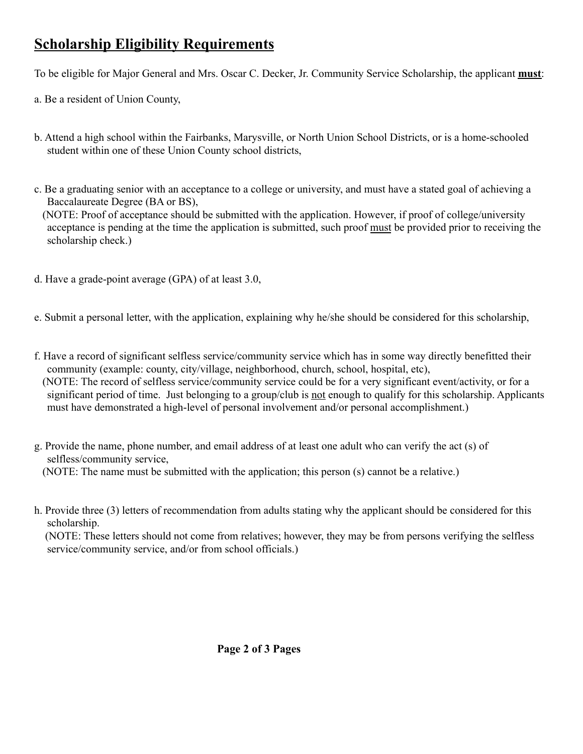### **Scholarship Eligibility Requirements**

To be eligible for Major General and Mrs. Oscar C. Decker, Jr. Community Service Scholarship, the applicant **must**:

- a. Be a resident of Union County,
- b. Attend a high school within the Fairbanks, Marysville, or North Union School Districts, or is a home-schooled student within one of these Union County school districts,
- c. Be a graduating senior with an acceptance to a college or university, and must have a stated goal of achieving a Baccalaureate Degree (BA or BS),

(NOTE: Proof of acceptance should be submitted with the application. However, if proof of college/university acceptance is pending at the time the application is submitted, such proof must be provided prior to receiving the scholarship check.)

d. Have a grade-point average (GPA) of at least 3.0,

e. Submit a personal letter, with the application, explaining why he/she should be considered for this scholarship,

- f. Have a record of significant selfless service/community service which has in some way directly benefitted their community (example: county, city/village, neighborhood, church, school, hospital, etc), (NOTE: The record of selfless service/community service could be for a very significant event/activity, or for a significant period of time. Just belonging to a group/club is not enough to qualify for this scholarship. Applicants must have demonstrated a high-level of personal involvement and/or personal accomplishment.)
- g. Provide the name, phone number, and email address of at least one adult who can verify the act (s) of selfless/community service, (NOTE: The name must be submitted with the application; this person (s) cannot be a relative.)
- h. Provide three (3) letters of recommendation from adults stating why the applicant should be considered for this scholarship.

(NOTE: These letters should not come from relatives; however, they may be from persons verifying the selfless service/community service, and/or from school officials.)